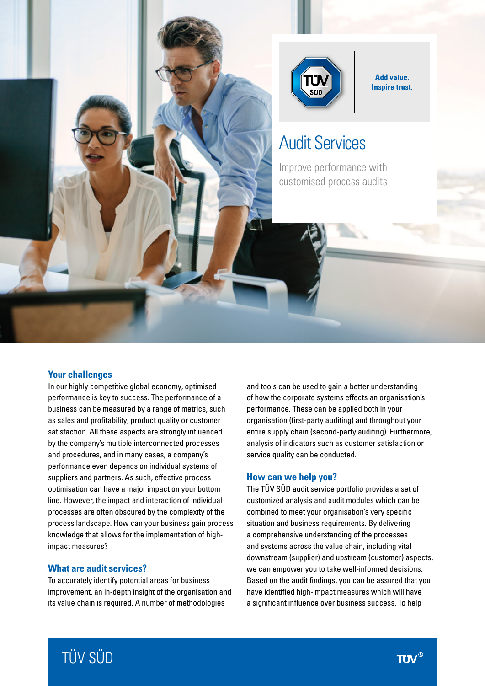



**Add value. Inspire trust.** 

# Audit Services

Improve performance with customised process audits

### **Your challenges**

In our highly competitive global economy, optimised performance is key to success. The performance of a business can be measured by a range of metrics, such as sales and profitability, product quality or customer satisfaction. All these aspects are strongly influenced by the company's multiple interconnected processes and procedures, and in many cases, a company's performance even depends on individual systems of suppliers and partners. As such, effective process optimisation can have a major impact on your bottom line. However, the impact and interaction of individual processes are often obscured by the complexity of the process landscape. How can your business gain process knowledge that allows for the implementation of highimpact measures?

### **What are audit services?**

To accurately identify potential areas for business improvement, an in-depth insight of the organisation and its value chain is required. A number of methodologies

and tools can be used to gain a better understanding of how the corporate systems effects an organisation's performance. These can be applied both in your organisation (first-party auditing) and throughout your entire supply chain (second-party auditing). Furthermore, analysis of indicators such as customer satisfaction or service quality can be conducted.

#### **How can we help you?**

The TÜV SÜD audit service portfolio provides a set of customized analysis and audit modules which can be combined to meet your organisation's very specific situation and business requirements. By delivering a comprehensive understanding of the processes and systems across the value chain, including vital downstream (supplier) and upstream (customer) aspects, we can empower you to take well-informed decisions. Based on the audit findings, you can be assured that you have identified high-impact measures which will have a significant influence over business success. To help